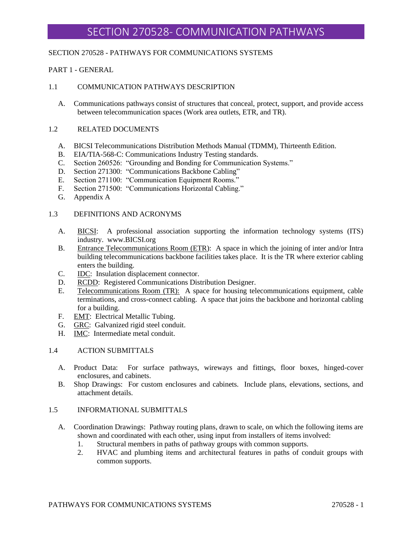### SECTION 270528 - PATHWAYS FOR COMMUNICATIONS SYSTEMS

### PART 1 - GENERAL

### 1.1 COMMUNICATION PATHWAYS DESCRIPTION

A. Communications pathways consist of structures that conceal, protect, support, and provide access between telecommunication spaces (Work area outlets, ETR, and TR).

### 1.2 RELATED DOCUMENTS

- A. BICSI Telecommunications Distribution Methods Manual (TDMM), Thirteenth Edition.
- B. EIA/TIA-568-C: Communications Industry Testing standards.
- C. Section 260526: "Grounding and Bonding for Communication Systems."
- D. Section 271300: "Communications Backbone Cabling"
- E. Section 271100: "Communication Equipment Rooms."
- F. Section 271500: "Communications Horizontal Cabling."
- G. Appendix A

#### 1.3 DEFINITIONS AND ACRONYMS

- A. BICSI: A professional association supporting the information technology systems (ITS) industry. www.BICSI.org
- B. Entrance Telecommunications Room (ETR): A space in which the joining of inter and/or Intra building telecommunications backbone facilities takes place. It is the TR where exterior cabling enters the building.
- C. **IDC**: Insulation displacement connector.
- D. RCDD: Registered Communications Distribution Designer.
- E. Telecommunications Room (TR): A space for housing telecommunications equipment, cable terminations, and cross-connect cabling. A space that joins the backbone and horizontal cabling for a building.
- F. EMT: Electrical Metallic Tubing.
- G. GRC: Galvanized rigid steel conduit.
- H. IMC: Intermediate metal conduit.

#### 1.4 ACTION SUBMITTALS

- A. Product Data: For surface pathways, wireways and fittings, floor boxes, hinged-cover enclosures, and cabinets.
- B. Shop Drawings: For custom enclosures and cabinets. Include plans, elevations, sections, and attachment details.

### 1.5 INFORMATIONAL SUBMITTALS

- A. Coordination Drawings: Pathway routing plans, drawn to scale, on which the following items are shown and coordinated with each other, using input from installers of items involved:
	- 1. Structural members in paths of pathway groups with common supports.
	- 2. HVAC and plumbing items and architectural features in paths of conduit groups with common supports.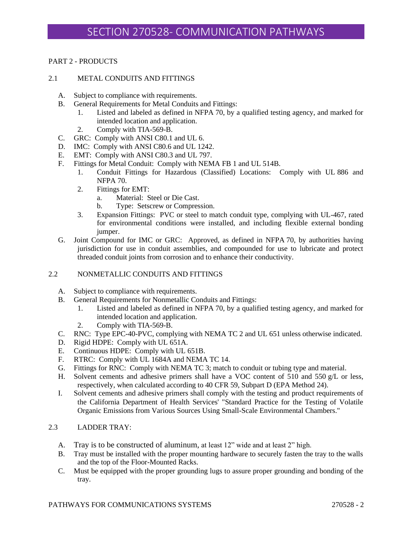# PART 2 - PRODUCTS

# 2.1 METAL CONDUITS AND FITTINGS

- A. Subject to compliance with requirements.
- B. General Requirements for Metal Conduits and Fittings:
	- 1. Listed and labeled as defined in NFPA 70, by a qualified testing agency, and marked for intended location and application.
	- 2. Comply with TIA-569-B.
- C. GRC: Comply with ANSI C80.1 and UL 6.
- D. IMC: Comply with ANSI C80.6 and UL 1242.
- E. EMT: Comply with ANSI C80.3 and UL 797.
- F. Fittings for Metal Conduit: Comply with NEMA FB 1 and UL 514B.
	- 1. Conduit Fittings for Hazardous (Classified) Locations: Comply with UL 886 and NFPA 70.
	- 2. Fittings for EMT:
		- a. Material: Steel or Die Cast.
		- b. Type: Setscrew or Compression.
	- 3. Expansion Fittings: PVC or steel to match conduit type, complying with UL-467, rated for environmental conditions were installed, and including flexible external bonding jumper.
- G. Joint Compound for IMC or GRC: Approved, as defined in NFPA 70, by authorities having jurisdiction for use in conduit assemblies, and compounded for use to lubricate and protect threaded conduit joints from corrosion and to enhance their conductivity.

# 2.2 NONMETALLIC CONDUITS AND FITTINGS

- A. Subject to compliance with requirements.
- B. General Requirements for Nonmetallic Conduits and Fittings:
	- 1. Listed and labeled as defined in NFPA 70, by a qualified testing agency, and marked for intended location and application.
	- 2. Comply with TIA-569-B.
- C. RNC: Type EPC-40-PVC, complying with NEMA TC 2 and UL 651 unless otherwise indicated.
- D. Rigid HDPE: Comply with UL 651A.
- E. Continuous HDPE: Comply with UL 651B.
- F. RTRC: Comply with UL 1684A and NEMA TC 14.
- G. Fittings for RNC: Comply with NEMA TC 3; match to conduit or tubing type and material.
- H. Solvent cements and adhesive primers shall have a VOC content of 510 and 550 g/L or less, respectively, when calculated according to 40 CFR 59, Subpart D (EPA Method 24).
- I. Solvent cements and adhesive primers shall comply with the testing and product requirements of the California Department of Health Services' "Standard Practice for the Testing of Volatile Organic Emissions from Various Sources Using Small-Scale Environmental Chambers."

# 2.3 LADDER TRAY:

- A. Tray is to be constructed of aluminum, at least 12" wide and at least 2" high.
- B. Tray must be installed with the proper mounting hardware to securely fasten the tray to the walls and the top of the Floor-Mounted Racks.
- C. Must be equipped with the proper grounding lugs to assure proper grounding and bonding of the tray.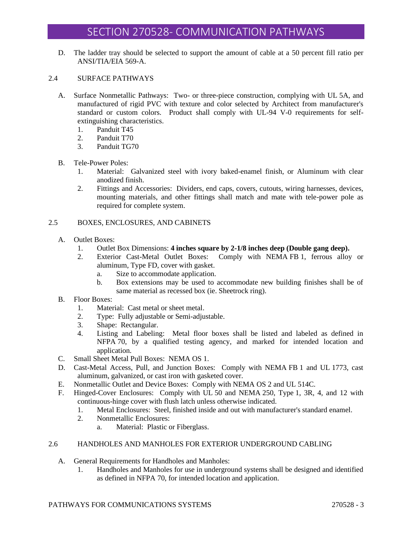D. The ladder tray should be selected to support the amount of cable at a 50 percent fill ratio per ANSI/TIA/EIA 569-A.

### 2.4 SURFACE PATHWAYS

- A. Surface Nonmetallic Pathways: Two- or three-piece construction, complying with UL 5A, and manufactured of rigid PVC with texture and color selected by Architect from manufacturer's standard or custom colors. Product shall comply with UL-94 V-0 requirements for selfextinguishing characteristics.
	- 1. Panduit T45
	- 2. Panduit T70
	- 3. Panduit TG70
- B. Tele-Power Poles:
	- 1. Material: Galvanized steel with ivory baked-enamel finish, or Aluminum with clear anodized finish.
	- 2. Fittings and Accessories: Dividers, end caps, covers, cutouts, wiring harnesses, devices, mounting materials, and other fittings shall match and mate with tele-power pole as required for complete system.

# 2.5 BOXES, ENCLOSURES, AND CABINETS

- A. Outlet Boxes:
	- 1. Outlet Box Dimensions: **4 inches square by 2-1/8 inches deep (Double gang deep).**
	- 2. Exterior Cast-Metal Outlet Boxes: Comply with NEMA FB 1, ferrous alloy or aluminum, Type FD, cover with gasket.
		- a. Size to accommodate application.
		- b. Box extensions may be used to accommodate new building finishes shall be of same material as recessed box (ie. Sheetrock ring).
- B. Floor Boxes:
	- 1. Material: Cast metal or sheet metal.
	- 2. Type: Fully adjustable or Semi-adjustable.
	- 3. Shape: Rectangular.
	- 4. Listing and Labeling: Metal floor boxes shall be listed and labeled as defined in NFPA 70, by a qualified testing agency, and marked for intended location and application.
- C. Small Sheet Metal Pull Boxes: NEMA OS 1.
- D. Cast-Metal Access, Pull, and Junction Boxes: Comply with NEMA FB 1 and UL 1773, cast aluminum, galvanized, or cast iron with gasketed cover.
- E. Nonmetallic Outlet and Device Boxes: Comply with NEMA OS 2 and UL 514C.
- F. Hinged-Cover Enclosures: Comply with UL 50 and NEMA 250, Type 1, 3R, 4, and 12 with continuous-hinge cover with flush latch unless otherwise indicated.
	- 1. Metal Enclosures: Steel, finished inside and out with manufacturer's standard enamel.
	- 2. Nonmetallic Enclosures:
		- a. Material: Plastic or Fiberglass.

# 2.6 HANDHOLES AND MANHOLES FOR EXTERIOR UNDERGROUND CABLING

- A. General Requirements for Handholes and Manholes:
	- 1. Handholes and Manholes for use in underground systems shall be designed and identified as defined in NFPA 70, for intended location and application.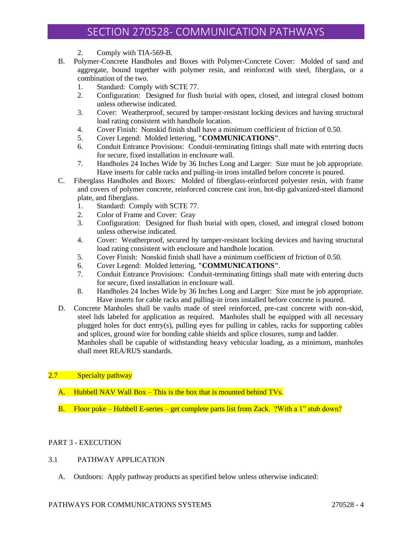- 2. Comply with TIA-569-B.
- B. Polymer-Concrete Handholes and Boxes with Polymer-Concrete Cover: Molded of sand and aggregate, bound together with polymer resin, and reinforced with steel, fiberglass, or a combination of the two.
	- 1. Standard: Comply with SCTE 77.
	- 2. Configuration: Designed for flush burial with open, closed, and integral closed bottom unless otherwise indicated.
	- 3. Cover: Weatherproof, secured by tamper-resistant locking devices and having structural load rating consistent with handhole location.
	- 4. Cover Finish: Nonskid finish shall have a minimum coefficient of friction of 0.50.
	- 5. Cover Legend: Molded lettering, **"COMMUNICATIONS"**.
	- 6. Conduit Entrance Provisions: Conduit-terminating fittings shall mate with entering ducts for secure, fixed installation in enclosure wall.
	- 7. Handholes 24 Inches Wide by 36 Inches Long and Larger: Size must be job appropriate. Have inserts for cable racks and pulling-in irons installed before concrete is poured.
- C. Fiberglass Handholes and Boxes: Molded of fiberglass-reinforced polyester resin, with frame and covers of polymer concrete, reinforced concrete cast iron, hot-dip galvanized-steel diamond plate, and fiberglass.
	- 1. Standard: Comply with SCTE 77.
	- 2. Color of Frame and Cover: Gray
	- 3. Configuration: Designed for flush burial with open, closed, and integral closed bottom unless otherwise indicated.
	- 4. Cover: Weatherproof, secured by tamper-resistant locking devices and having structural load rating consistent with enclosure and handhole location.
	- 5. Cover Finish: Nonskid finish shall have a minimum coefficient of friction of 0.50.
	- 6. Cover Legend: Molded lettering, **"COMMUNICATIONS"**.
	- 7. Conduit Entrance Provisions: Conduit-terminating fittings shall mate with entering ducts for secure, fixed installation in enclosure wall.
	- 8. Handholes 24 Inches Wide by 36 Inches Long and Larger: Size must be job appropriate. Have inserts for cable racks and pulling-in irons installed before concrete is poured.
- D. Concrete Manholes shall be vaults made of steel reinforced, pre-cast concrete with non-skid, steel lids labeled for application as required. Manholes shall be equipped with all necessary plugged holes for duct entry(s), pulling eyes for pulling in cables, racks for supporting cables and splices, ground wire for bonding cable shields and splice closures, sump and ladder. Manholes shall be capable of withstanding heavy vehicular loading, as a minimum, manholes

shall meet REA/RUS standards.

# 2.7 Specialty pathway

- A. Hubbell NAV Wall Box This is the box that is mounted behind TVs.
- B. Floor poke Hubbell E-series get complete parts list from Zack. ?With a 1" stub down?

# PART 3 - EXECUTION

### 3.1 PATHWAY APPLICATION

A. Outdoors: Apply pathway products as specified below unless otherwise indicated:

### PATHWAYS FOR COMMUNICATIONS SYSTEMS 270528 - 4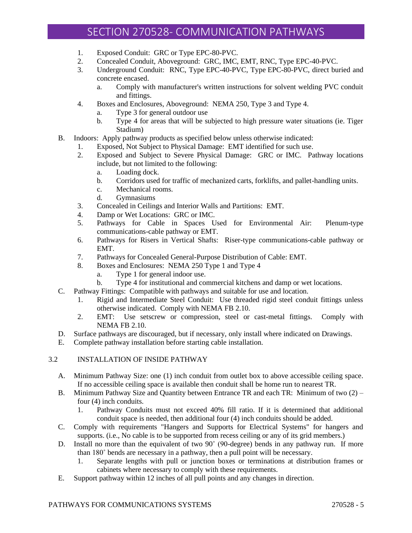- 1. Exposed Conduit: GRC or Type EPC-80-PVC.
- 2. Concealed Conduit, Aboveground: GRC, IMC, EMT, RNC, Type EPC-40-PVC.
- 3. Underground Conduit: RNC, Type EPC-40-PVC, Type EPC-80-PVC, direct buried and concrete encased.
	- a. Comply with manufacturer's written instructions for solvent welding PVC conduit and fittings.
- 4. Boxes and Enclosures, Aboveground: NEMA 250, Type 3 and Type 4.
	- a. Type 3 for general outdoor use
	- b. Type 4 for areas that will be subjected to high pressure water situations (ie. Tiger Stadium)
- B. Indoors: Apply pathway products as specified below unless otherwise indicated:
	- 1. Exposed, Not Subject to Physical Damage: EMT identified for such use.
	- 2. Exposed and Subject to Severe Physical Damage: GRC or IMC. Pathway locations include, but not limited to the following:
		- a. Loading dock.
		- b. Corridors used for traffic of mechanized carts, forklifts, and pallet-handling units.
		- c. Mechanical rooms.
		- d. Gymnasiums
	- 3. Concealed in Ceilings and Interior Walls and Partitions: EMT.
	- 4. Damp or Wet Locations: GRC or IMC.
	- 5. Pathways for Cable in Spaces Used for Environmental Air: Plenum-type communications-cable pathway or EMT.
	- 6. Pathways for Risers in Vertical Shafts: Riser-type communications-cable pathway or EMT.
	- 7. Pathways for Concealed General-Purpose Distribution of Cable: EMT.
	- 8. Boxes and Enclosures: NEMA 250 Type 1 and Type 4
		- a. Type 1 for general indoor use.
		- b. Type 4 for institutional and commercial kitchens and damp or wet locations.
- C. Pathway Fittings: Compatible with pathways and suitable for use and location.
	- 1. Rigid and Intermediate Steel Conduit: Use threaded rigid steel conduit fittings unless otherwise indicated. Comply with NEMA FB 2.10.
	- 2. EMT: Use setscrew or compression, steel or cast-metal fittings. Comply with NEMA FB 2.10.
- D. Surface pathways are discouraged, but if necessary, only install where indicated on Drawings.
- E. Complete pathway installation before starting cable installation.

# 3.2 INSTALLATION OF INSIDE PATHWAY

- A. Minimum Pathway Size: one (1) inch conduit from outlet box to above accessible ceiling space. If no accessible ceiling space is available then conduit shall be home run to nearest TR.
- B. Minimum Pathway Size and Quantity between Entrance TR and each TR: Minimum of two (2) four (4) inch conduits.
	- 1. Pathway Conduits must not exceed 40% fill ratio. If it is determined that additional conduit space is needed, then additional four (4) inch conduits should be added.
- C. Comply with requirements "Hangers and Supports for Electrical Systems" for hangers and supports. (i.e., No cable is to be supported from recess ceiling or any of its grid members.)
- D. Install no more than the equivalent of two 90˚ (90-degree) bends in any pathway run. If more than 180˚ bends are necessary in a pathway, then a pull point will be necessary.
	- 1. Separate lengths with pull or junction boxes or terminations at distribution frames or cabinets where necessary to comply with these requirements.
- E. Support pathway within 12 inches of all pull points and any changes in direction.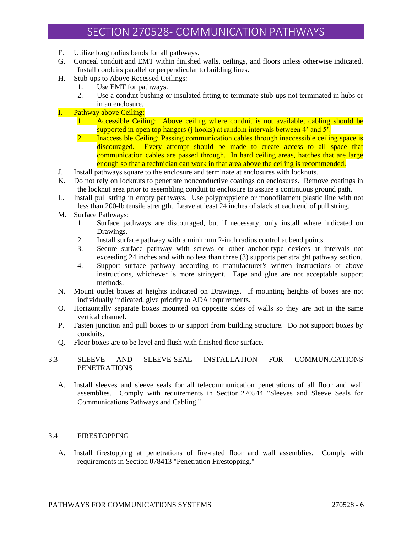- F. Utilize long radius bends for all pathways.
- G. Conceal conduit and EMT within finished walls, ceilings, and floors unless otherwise indicated. Install conduits parallel or perpendicular to building lines.
- H. Stub-ups to Above Recessed Ceilings:
	- 1. Use EMT for pathways.
	- 2. Use a conduit bushing or insulated fitting to terminate stub-ups not terminated in hubs or in an enclosure.
- I. Pathway above Ceiling:
	- 1. Accessible Ceiling: Above ceiling where conduit is not available, cabling should be supported in open top hangers (*j*-hooks) at random intervals between 4' and 5'.
	- 2. Inaccessible Ceiling: Passing communication cables through inaccessible ceiling space is discouraged. Every attempt should be made to create access to all space that communication cables are passed through. In hard ceiling areas, hatches that are large enough so that a technician can work in that area above the ceiling is recommended.
- J. Install pathways square to the enclosure and terminate at enclosures with locknuts.
- K. Do not rely on locknuts to penetrate nonconductive coatings on enclosures. Remove coatings in the locknut area prior to assembling conduit to enclosure to assure a continuous ground path.
- L. Install pull string in empty pathways. Use polypropylene or monofilament plastic line with not less than 200-lb tensile strength. Leave at least 24 inches of slack at each end of pull string.
- M. Surface Pathways:
	- 1. Surface pathways are discouraged, but if necessary, only install where indicated on Drawings.
	- 2. Install surface pathway with a minimum 2-inch radius control at bend points.
	- 3. Secure surface pathway with screws or other anchor-type devices at intervals not exceeding 24 inches and with no less than three (3) supports per straight pathway section.
	- 4. Support surface pathway according to manufacturer's written instructions or above instructions, whichever is more stringent. Tape and glue are not acceptable support methods.
- N. Mount outlet boxes at heights indicated on Drawings. If mounting heights of boxes are not individually indicated, give priority to ADA requirements.
- O. Horizontally separate boxes mounted on opposite sides of walls so they are not in the same vertical channel.
- P. Fasten junction and pull boxes to or support from building structure. Do not support boxes by conduits.
- Q. Floor boxes are to be level and flush with finished floor surface.

# 3.3 SLEEVE AND SLEEVE-SEAL INSTALLATION FOR COMMUNICATIONS PENETRATIONS

A. Install sleeves and sleeve seals for all telecommunication penetrations of all floor and wall assemblies. Comply with requirements in Section 270544 "Sleeves and Sleeve Seals for Communications Pathways and Cabling."

#### 3.4 FIRESTOPPING

A. Install firestopping at penetrations of fire-rated floor and wall assemblies. Comply with requirements in Section 078413 "Penetration Firestopping."